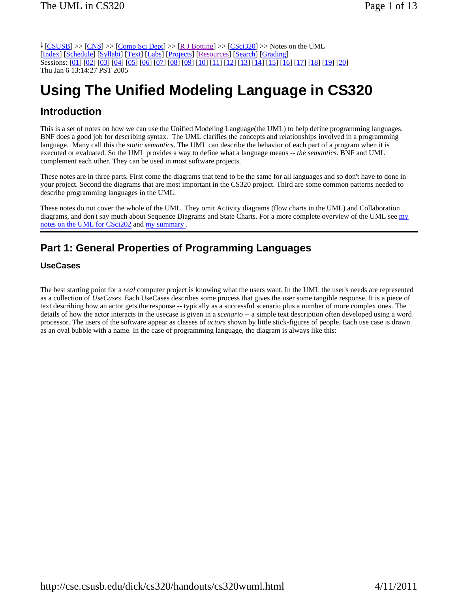$\frac{1}{2}$  [CSUSB] >> [CNS] >> [Comp Sci Dept] >> [R J Botting] >> [CSci320] >> Notes on the UML [Index] [Schedule] [Syllabi] [Text] [Labs] [Projects] [Resources] [Search] [Grading] Sessions: [01] [02] [03] [04] [05] [06] [07] [08] [09] [10] [11] [12] [13] [14] [15] [16] [17] [18] [19] [20] Thu Jan 6 13:14:27 PST 2005

# **Using The Unified Modeling Language in CS320**

# **Introduction**

This is a set of notes on how we can use the Unified Modeling Language(the UML) to help define programming languages. BNF does a good job for describing syntax. The UML clarifies the concepts and relationships involved in a programming language. Many call this the *static semantics*. The UML can describe the behavior of each part of a program when it is executed or evaluated. So the UML provides a way to define what a language means -- *the semantics*. BNF and UML complement each other. They can be used in most software projects.

These notes are in three parts. First come the diagrams that tend to be the same for all languages and so don't have to done in your project. Second the diagrams that are most important in the CS320 project. Third are some common patterns needed to describe programming languages in the UML.

These notes do not cover the whole of the UML. They omit Activity diagrams (flow charts in the UML) and Collaboration diagrams, and don't say much about Sequence Diagrams and State Charts. For a more complete overview of the UML see my notes on the UML for CSci202 and my summary .

# **Part 1: General Properties of Programming Languages**

### **UseCases**

The best starting point for a *real* computer project is knowing what the users want. In the UML the user's needs are represented as a collection of *UseCases*. Each UseCases describes some process that gives the user some tangible response. It is a piece of text describing how an actor gets the response -- typically as a successful scenario plus a number of more complex ones. The details of how the actor interacts in the usecase is given in a *scenario* -- a simple text description often developed using a word processor. The users of the software appear as classes of *actors* shown by little stick-figures of people. Each use case is drawn as an oval bubble with a name. In the case of programming language, the diagram is always like this: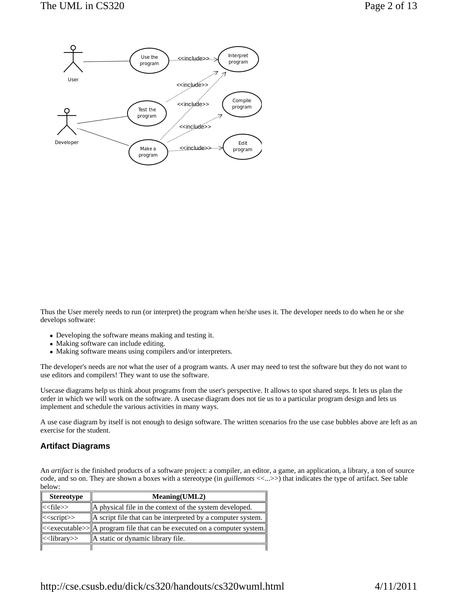

Thus the User merely needs to run (or interpret) the program when he/she uses it. The developer needs to do when he or she develops software:

- Developing the software means making and testing it.
- Making software can include editing.
- Making software means using compilers and/or interpreters.

The developer's needs are *not* what the user of a program wants. A user may need to test the software but they do not want to use editors and compilers! They want to use the software.

Usecase diagrams help us think about programs from the user's perspective. It allows to spot shared steps. It lets us plan the order in which we will work on the software. A usecase diagram does not tie us to a particular program design and lets us implement and schedule the various activities in many ways.

A use case diagram by itself is not enough to design software. The written scenarios fro the use case bubbles above are left as an exercise for the student.

#### **Artifact Diagrams**

An *artifact* is the finished products of a software project: a compiler, an editor, a game, an application, a library, a ton of source code, and so on. They are shown a boxes with a stereotype (in *guillemots* <<...>>) that indicates the type of artifact. See table below:

| <b>Stereotype</b>        | Meaning(UML2)                                                                                     |
|--------------------------|---------------------------------------------------------------------------------------------------|
| $\parallel <$ file>>     | A physical file in the context of the system developed.                                           |
| $\parallel <$ script>>   | $\parallel$ A script file that can be interpreted by a computer system. $\parallel$               |
|                          | $\parallel$ < executable >> $\parallel$ a program file that can be executed on a computer system. |
| $\parallel$ < library >> | A static or dynamic library file.                                                                 |
|                          |                                                                                                   |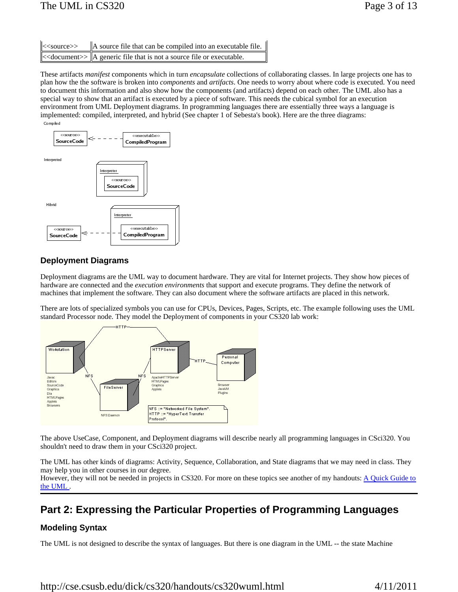| $\parallel <$ source>> | $\parallel$ A source file that can be compiled into an executable file. |
|------------------------|-------------------------------------------------------------------------|
|                        |                                                                         |

These artifacts *manifest* components which in turn *encapsulate* collections of collaborating classes. In large projects one has to plan how the the software is broken into *components* and *artifacts*. One needs to worry about where code is executed. You need to document this information and also show how the components (and artifacts) depend on each other. The UML also has a special way to show that an artifact is executed by a piece of software. This needs the cubical symbol for an execution environment from UML Deployment diagrams. In programming languages there are essentially three ways a language is implemented: compiled, interpreted, and hybrid (See chapter 1 of Sebesta's book). Here are the three diagrams: Compiled



## **Deployment Diagrams**

Deployment diagrams are the UML way to document hardware. They are vital for Internet projects. They show how pieces of hardware are connected and the *execution environments* that support and execute programs. They define the network of machines that implement the software. They can also document where the software artifacts are placed in this network.

There are lots of specialized symbols you can use for CPUs, Devices, Pages, Scripts, etc. The example following uses the UML standard Processor node. They model the Deployment of components in your CS320 lab work:



The above UseCase, Component, and Deployment diagrams will describe nearly all programming languages in CSci320. You shouldn't need to draw them in your CSci320 project.

The UML has other kinds of diagrams: Activity, Sequence, Collaboration, and State diagrams that we may need in class. They may help you in other courses in our degree.

However, they will not be needed in projects in CS320. For more on these topics see another of my handouts: A Quick Guide to the UML .

# **Part 2: Expressing the Particular Properties of Programming Languages**

### **Modeling Syntax**

The UML is not designed to describe the syntax of languages. But there is one diagram in the UML -- the state Machine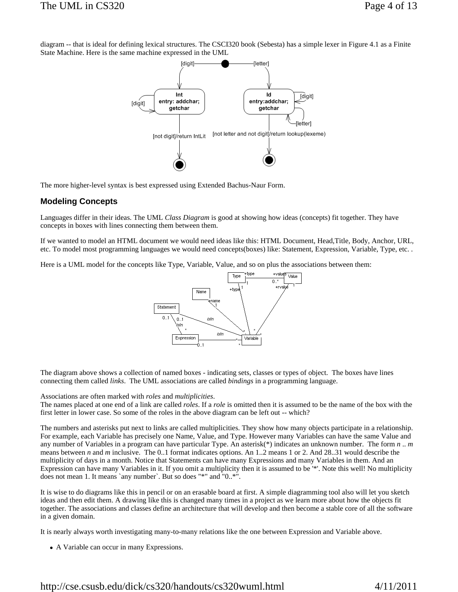diagram -- that is ideal for defining lexical structures. The CSCI320 book (Sebesta) has a simple lexer in Figure 4.1 as a Finite State Machine. Here is the same machine expressed in the UML



The more higher-level syntax is best expressed using Extended Bachus-Naur Form.

#### **Modeling Concepts**

Languages differ in their ideas. The UML *Class Diagram* is good at showing how ideas (concepts) fit together. They have concepts in boxes with lines connecting them between them.

If we wanted to model an HTML document we would need ideas like this: HTML Document, Head,Title, Body, Anchor, URL, etc. To model most programming languages we would need concepts(boxes) like: Statement, Expression, Variable, Type, etc. .

Here is a UML model for the concepts like Type, Variable, Value, and so on plus the associations between them:



The diagram above shows a collection of named boxes - indicating sets, classes or types of object. The boxes have lines connecting them called *links*. The UML associations are called *bindings* in a programming language.

Associations are often marked with *roles* and *multiplicities*.

The names placed at one end of a link are called *roles*. If a *role* is omitted then it is assumed to be the name of the box with the first letter in lower case. So some of the roles in the above diagram can be left out -- which?

The numbers and asterisks put next to links are called multiplicities. They show how many objects participate in a relationship. For example, each Variable has precisely one Name, Value, and Type. However many Variables can have the same Value and any number of Variables in a program can have particular Type. An asterisk(\*) indicates an unknown number. The form *n* .. *m* means between *n* and *m* inclusive. The 0..1 format indicates options. An 1..2 means 1 or 2. And 28..31 would describe the multiplicity of days in a month. Notice that Statements can have many Expressions and many Variables in them. And an Expression can have many Variables in it. If you omit a multiplicity then it is assumed to be '\*'. Note this well! No multiplicity does not mean 1. It means `any number`. But so does "\*" and "0..\*".

It is wise to do diagrams like this in pencil or on an erasable board at first. A simple diagramming tool also will let you sketch ideas and then edit them. A drawing like this is changed many times in a project as we learn more about how the objects fit together. The associations and classes define an architecture that will develop and then become a stable core of all the software in a given domain.

It is nearly always worth investigating many-to-many relations like the one between Expression and Variable above.

• A Variable can occur in many Expressions.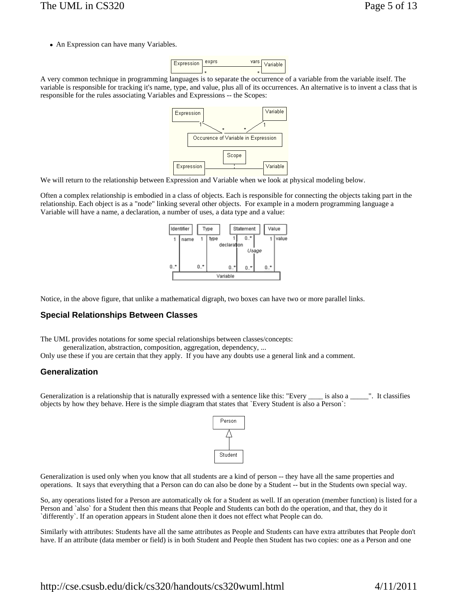• An Expression can have many Variables.



A very common technique in programming languages is to separate the occurrence of a variable from the variable itself. The variable is responsible for tracking it's name, type, and value, plus all of its occurrences. An alternative is to invent a class that is responsible for the rules associating Variables and Expressions -- the Scopes:



We will return to the relationship between Expression and Variable when we look at physical modeling below.

Often a complex relationship is embodied in a class of objects. Each is responsible for connecting the objects taking part in the relationship. Each object is as a "node" linking several other objects. For example in a modern programming language a Variable will have a name, a declaration, a number of uses, a data type and a value:



Notice, in the above figure, that unlike a mathematical digraph, two boxes can have two or more parallel links.

#### **Special Relationships Between Classes**

The UML provides notations for some special relationships between classes/concepts:

generalization, abstraction, composition, aggregation, dependency, ...

Only use these if you are certain that they apply. If you have any doubts use a general link and a comment.

#### **Generalization**

Generalization is a relationship that is naturally expressed with a sentence like this: "Every \_\_\_\_ is also a \_\_\_\_". It classifies objects by how they behave. Here is the simple diagram that states that `Every Student is also a Person`:



Generalization is used only when you know that all students are a kind of person -- they have all the same properties and operations. It says that everything that a Person can do can also be done by a Student -- but in the Students own special way.

So, any operations listed for a Person are automatically ok for a Student as well. If an operation (member function) is listed for a Person and `also` for a Student then this means that People and Students can both do the operation, and that, they do it `differently`. If an operation appears in Student alone then it does not effect what People can do.

Similarly with attributes: Students have all the same attributes as People and Students can have extra attributes that People don't have. If an attribute (data member or field) is in both Student and People then Student has two copies: one as a Person and one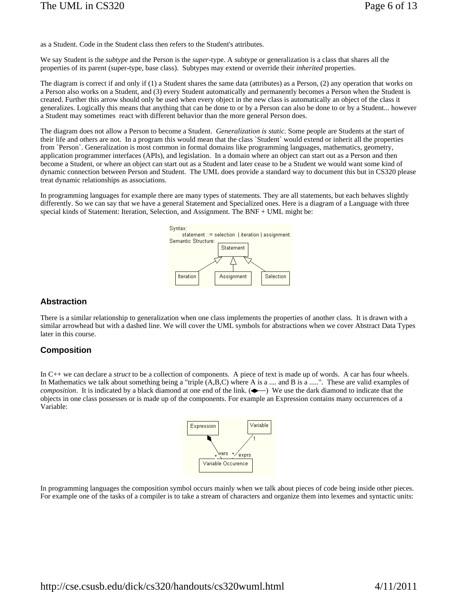as a Student. Code in the Student class then refers to the Student's attributes.

We say Student is the *subtype* and the Person is the *super*-type. A subtype or generalization is a class that shares all the properties of its parent (super-type, base class). Subtypes may extend or override their *inherited* properties.

The diagram is correct if and only if (1) a Student shares the same data (attributes) as a Person, (2) any operation that works on a Person also works on a Student, and (3) every Student automatically and permanently becomes a Person when the Student is created. Further this arrow should only be used when every object in the new class is automatically an object of the class it generalizes. Logically this means that anything that can be done to or by a Person can also be done to or by a Student... however a Student may sometimes react with different behavior than the more general Person does.

The diagram does not allow a Person to become a Student. *Generalization is static*. Some people are Students at the start of their life and others are not. In a program this would mean that the class `Student` would extend or inherit all the properties from `Person`. Generalization is most common in formal domains like programming languages, mathematics, geometry, application programmer interfaces (APIs), and legislation. In a domain where an object can start out as a Person and then become a Student, or where an object can start out as a Student and later cease to be a Student we would want some kind of dynamic connection between Person and Student. The UML does provide a standard way to document this but in CS320 please treat dynamic relationships as associations.

In programming languages for example there are many types of statements. They are all statements, but each behaves slightly differently. So we can say that we have a general Statement and Specialized ones. Here is a diagram of a Language with three special kinds of Statement: Iteration, Selection, and Assignment. The BNF + UML might be:



#### **Abstraction**

There is a similar relationship to generalization when one class implements the properties of another class. It is drawn with a similar arrowhead but with a dashed line. We will cover the UML symbols for abstractions when we cover Abstract Data Types later in this course.

#### **Composition**

In C++ we can declare a *struct* to be a collection of components. A piece of text is made up of words. A car has four wheels. In Mathematics we talk about something being a "triple  $(A, B, C)$  where A is a .... and B is a .....". These are valid examples of *composition*. It is indicated by a black diamond at one end of the link. ( $\rightarrow$ ) We use the dark diamond to indicate that the objects in one class possesses or is made up of the components. For example an Expression contains many occurrences of a Variable:



In programming languages the composition symbol occurs mainly when we talk about pieces of code being inside other pieces. For example one of the tasks of a compiler is to take a stream of characters and organize them into lexemes and syntactic units: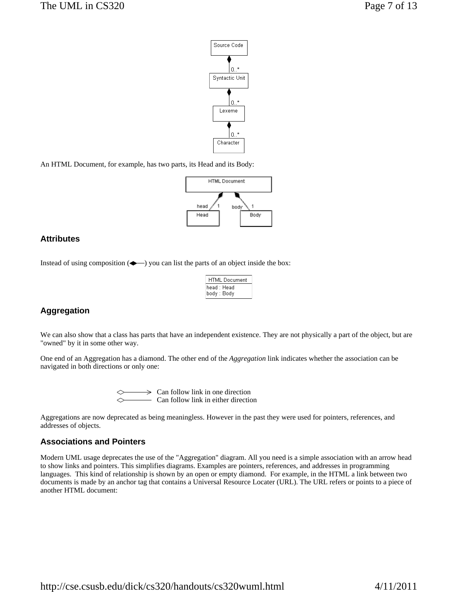

An HTML Document, for example, has two parts, its Head and its Body:



### **Attributes**

Instead of using composition  $($   $\rightarrow$   $)$  you can list the parts of an object inside the box:

| <b>HTML</b> Document         |  |
|------------------------------|--|
| lhead : Head<br>lbody : Body |  |

### **Aggregation**

We can also show that a class has parts that have an independent existence. They are not physically a part of the object, but are "owned" by it in some other way.

One end of an Aggregation has a diamond. The other end of the *Aggregation* link indicates whether the association can be navigated in both directions or only one:

> Can follow link in one direction Can follow link in either direction

Aggregations are now deprecated as being meaningless. However in the past they were used for pointers, references, and addresses of objects.

#### **Associations and Pointers**

Modern UML usage deprecates the use of the "Aggregation" diagram. All you need is a simple association with an arrow head to show links and pointers. This simplifies diagrams. Examples are pointers, references, and addresses in programming languages. This kind of relationship is shown by an open or empty diamond. For example, in the HTML a link between two documents is made by an anchor tag that contains a Universal Resource Locater (URL). The URL refers or points to a piece of another HTML document: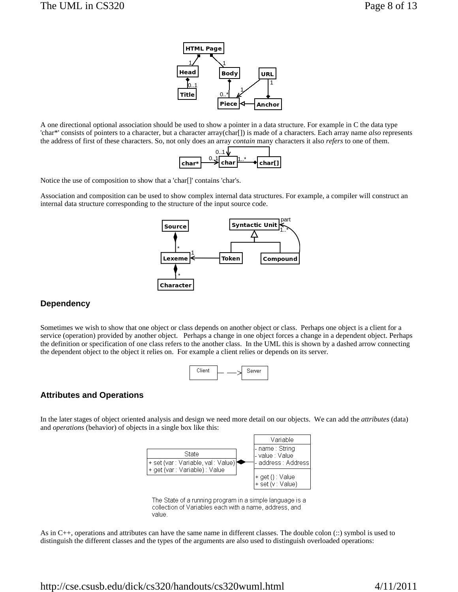

A one directional optional association should be used to show a pointer in a data structure. For example in C the data type 'char\*' consists of pointers to a character, but a character array(char[]) is made of a characters. Each array name *also* represents the address of first of these characters. So, not only does an array *contain* many characters it also *refers* to one of them.



Notice the use of composition to show that a 'char[]' contains 'char's.

Association and composition can be used to show complex internal data structures. For example, a compiler will construct an internal data structure corresponding to the structure of the input source code.



# **Dependency**

Sometimes we wish to show that one object or class depends on another object or class. Perhaps one object is a client for a service (operation) provided by another object. Perhaps a change in one object forces a change in a dependent object. Perhaps the definition or specification of one class refers to the another class. In the UML this is shown by a dashed arrow connecting the dependent object to the object it relies on. For example a client relies or depends on its server.



# **Attributes and Operations**

In the later stages of object oriented analysis and design we need more detail on our objects. We can add the *attributes* (data) and *operations* (behavior) of objects in a single box like this:



The State of a running program in a simple language is a collection of Variables each with a name, address, and value

As in C++, operations and attributes can have the same name in different classes. The double colon (::) symbol is used to distinguish the different classes and the types of the arguments are also used to distinguish overloaded operations: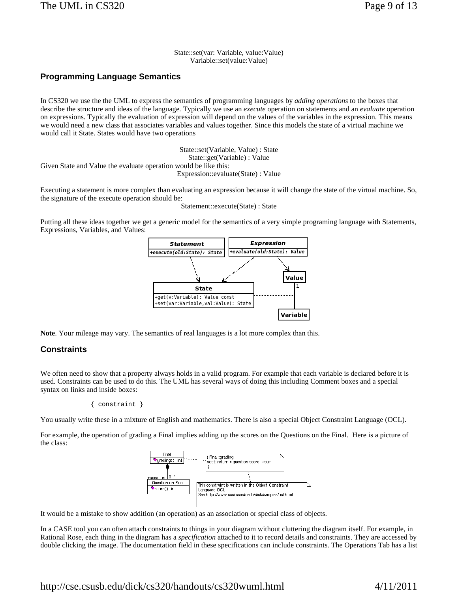State::set(var: Variable, value:Value) Variable::set(value:Value)

### **Programming Language Semantics**

In CS320 we use the the UML to express the semantics of programming languages by *adding operations* to the boxes that describe the structure and ideas of the language. Typically we use an *execute* operation on statements and an *evaluate* operation on expressions. Typically the evaluation of expression will depend on the values of the variables in the expression. This means we would need a new class that associates variables and values together. Since this models the state of a virtual machine we would call it State. States would have two operations

State::set(Variable, Value) : State State::get(Variable) : Value Given State and Value the evaluate operation would be like this: Expression::evaluate(State) : Value

Executing a statement is more complex than evaluating an expression because it will change the state of the virtual machine. So, the signature of the execute operation should be:

Statement::execute(State) : State

Putting all these ideas together we get a generic model for the semantics of a very simple programing language with Statements, Expressions, Variables, and Values:



**Note**. Your mileage may vary. The semantics of real languages is a lot more complex than this.

#### **Constraints**

We often need to show that a property always holds in a valid program. For example that each variable is declared before it is used. Constraints can be used to do this. The UML has several ways of doing this including Comment boxes and a special syntax on links and inside boxes:

```
 { constraint }
```
You usually write these in a mixture of English and mathematics. There is also a special Object Constraint Language (OCL).

For example, the operation of grading a Final implies adding up the scores on the Questions on the Final. Here is a picture of the class:



It would be a mistake to show addition (an operation) as an association or special class of objects.

In a CASE tool you can often attach constraints to things in your diagram without cluttering the diagram itself. For example, in Rational Rose, each thing in the diagram has a *specification* attached to it to record details and constraints. They are accessed by double clicking the image. The documentation field in these specifications can include constraints. The Operations Tab has a list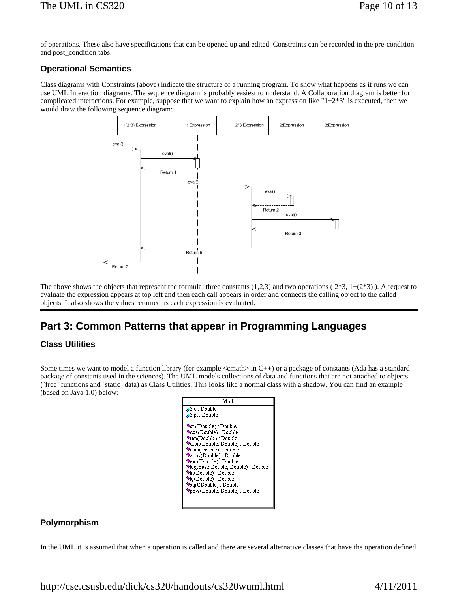of operations. These also have specifications that can be opened up and edited. Constraints can be recorded in the pre-condition and post\_condition tabs.

### **Operational Semantics**

Class diagrams with Constraints (above) indicate the structure of a running program. To show what happens as it runs we can use UML Interaction diagrams. The sequence diagram is probably easiest to understand. A Collaboration diagram is better for complicated interactions. For example, suppose that we want to explain how an expression like " $1+2*3$ " is executed, then we would draw the following sequence diagram:



The above shows the objects that represent the formula: three constants  $(1,2,3)$  and two operations  $(2^*3, 1+(2^*3))$ . A request to evaluate the expression appears at top left and then each call appears in order and connects the calling object to the called objects. It also shows the values returned as each expression is evaluated.

# **Part 3: Common Patterns that appear in Programming Languages**

### **Class Utilities**

Some times we want to model a function library (for example  $\langle$ cmath $\rangle$  in C++) or a package of constants (Ada has a standard package of constants used in the sciences). The UML models collections of data and functions that are not attached to objects (`free` functions and `static` data) as Class Utilities. This looks like a normal class with a shadow. You can find an example (based on Java 1.0) below:

| Math                                                                                                                                                                                                                                                                                                                                                                                            |
|-------------------------------------------------------------------------------------------------------------------------------------------------------------------------------------------------------------------------------------------------------------------------------------------------------------------------------------------------------------------------------------------------|
| $\triangle$ \$ e : Double<br>$\triangle$ \$ pi : Double                                                                                                                                                                                                                                                                                                                                         |
| $\bullet$ sin(Double) : Double<br>Cos(Double): Double<br><b>Vtan(Double): Double</b><br>Vatan(Double, Double) : Double<br>Vasin(Double): Double<br>♦acos(Double): Double<br>$\bullet$ exp(Double): Double<br>Vlog(base:Double, Double) : Double<br>$\Diamond$ In(Double): Double<br>$\blacklozenge$ lg(Double) : Double<br>$\blacklozenge$ sqrt(Double): Double<br>Vpow(Double, Double): Double |

### **Polymorphism**

In the UML it is assumed that when a operation is called and there are several alternative classes that have the operation defined

http://cse.csusb.edu/dick/cs320/handouts/cs320wuml.html 4/11/2011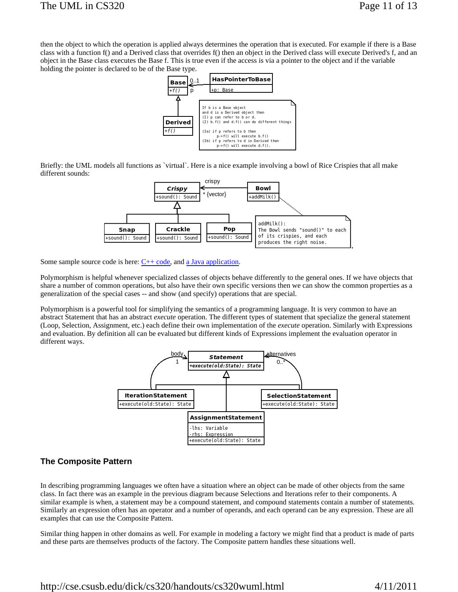then the object to which the operation is applied always determines the operation that is executed. For example if there is a Base class with a function f() and a Derived class that overrides f() then an object in the Derived class will execute Derived's f, and an object in the Base class executes the Base f. This is true even if the access is via a pointer to the object and if the variable holding the pointer is declared to be of the Base type.



Briefly: the UML models all functions as `virtual`. Here is a nice example involving a bowl of Rice Crispies that all make different sounds:



Some sample source code is here:  $C++code$ , and a Java application.

Polymorphism is helpful whenever specialized classes of objects behave differently to the general ones. If we have objects that share a number of common operations, but also have their own specific versions then we can show the common properties as a generalization of the special cases -- and show (and specify) operations that are special.

Polymorphism is a powerful tool for simplifying the semantics of a programming language. It is very common to have an abstract Statement that has an abstract *execute* operation. The different types of statement that specialize the general statement (Loop, Selection, Assignment, etc.) each define their own implementation of the *execute* operation. Similarly with Expressions and evaluation. By definition all can be evaluated but different kinds of Expressions implement the evaluation operator in different ways.



### **The Composite Pattern**

In describing programming languages we often have a situation where an object can be made of other objects from the same class. In fact there was an example in the previous diagram because Selections and Iterations refer to their components. A similar example is when, a statement may be a compound statement, and compound statements contain a number of statements. Similarly an expression often has an operator and a number of operands, and each operand can be any expression. These are all examples that can use the Composite Pattern.

Similar thing happen in other domains as well. For example in modeling a factory we might find that a product is made of parts and these parts are themselves products of the factory. The Composite pattern handles these situations well.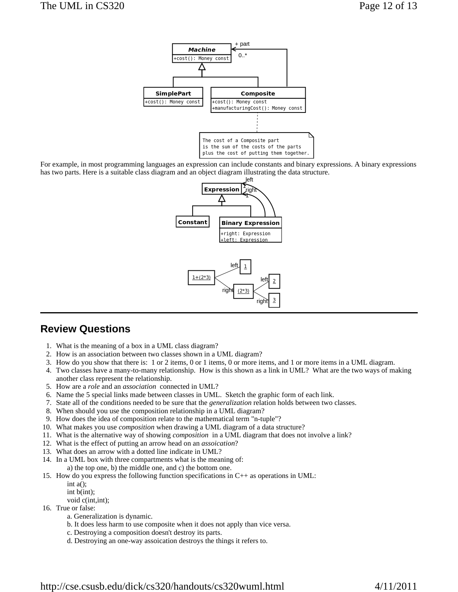

For example, in most programming languages an expression can include constants and binary expressions. A binary expressions has two parts. Here is a suitable class diagram and an object diagram illustrating the data structure.



# **Review Questions**

- 1. What is the meaning of a box in a UML class diagram?
- 2. How is an association between two classes shown in a UML diagram?
- 3. How do you show that there is: 1 or 2 items, 0 or 1 items, 0 or more items, and 1 or more items in a UML diagram.
- 4. Two classes have a many-to-many relationship. How is this shown as a link in UML? What are the two ways of making another class represent the relationship.
- 5. How are a *role* and an *association* connected in UML?
- 6. Name the 5 special links made between classes in UML. Sketch the graphic form of each link.
- 7. State all of the conditions needed to be sure that the *generalization* relation holds between two classes.
- 8. When should you use the composition relationship in a UML diagram?
- 9. How does the idea of composition relate to the mathematical term "n-tuple"?
- 10. What makes you use *composition* when drawing a UML diagram of a data structure?
- 11. What is the alternative way of showing *composition* in a UML diagram that does not involve a link?
- 12. What is the effect of putting an arrow head on an *assoication*?
- 13. What does an arrow with a dotted line indicate in UML?
- 14. In a UML box with three compartments what is the meaning of:
- a) the top one, b) the middle one, and c) the bottom one.
- 15. How do you express the following function specifications in C++ as operations in UML:
	- int  $a()$ ; int b(int);
	- void c(int,int);
- 16. True or false:
	- a. Generalization is dynamic.
	- b. It does less harm to use composite when it does not apply than vice versa.
	- c. Destroying a composition doesn't destroy its parts.
	- d. Destroying an one-way assoication destroys the things it refers to.